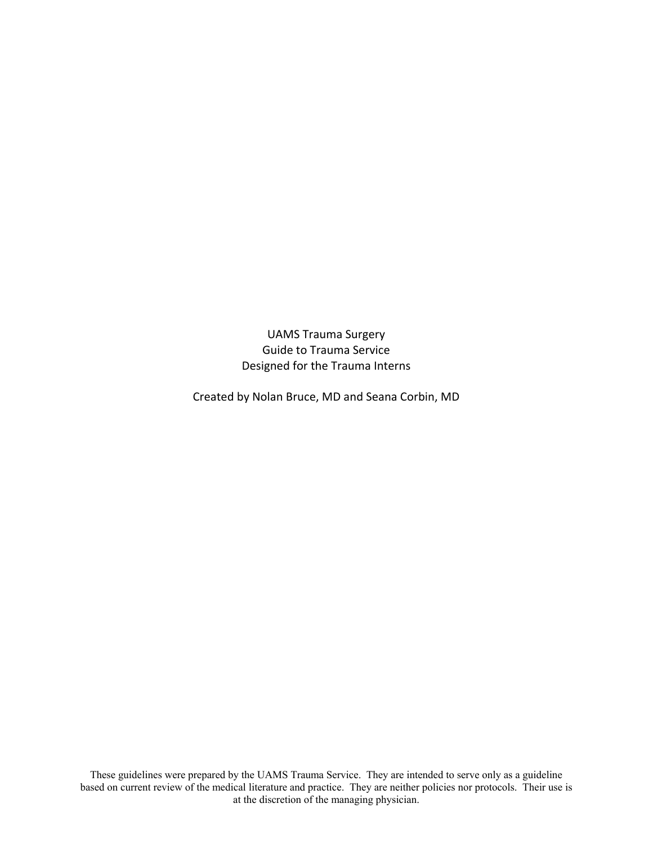UAMS Trauma Surgery Guide to Trauma Service Designed for the Trauma Interns

Created by Nolan Bruce, MD and Seana Corbin, MD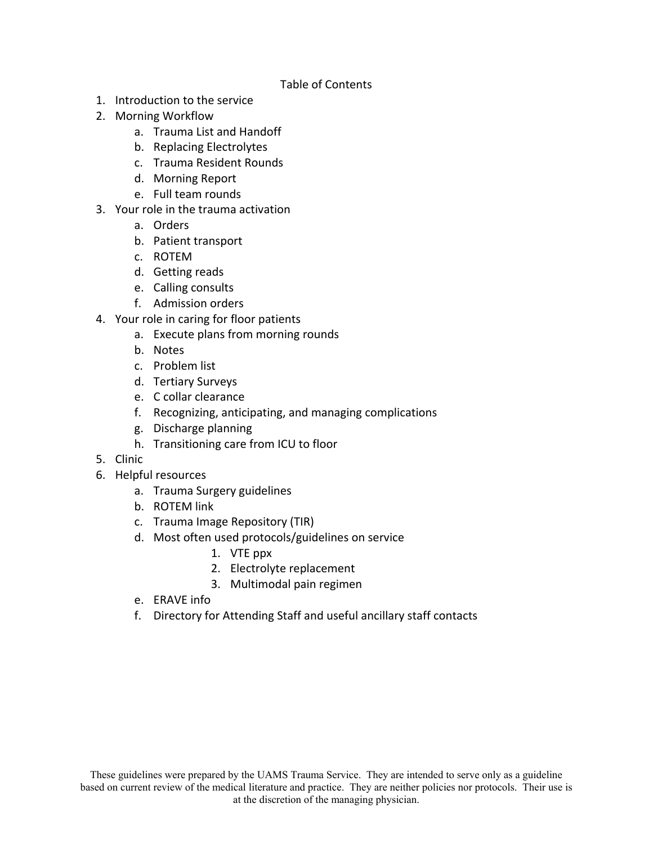## Table of Contents

- 1. Introduction to the service
- 2. Morning Workflow
	- a. Trauma List and Handoff
	- b. Replacing Electrolytes
	- c. Trauma Resident Rounds
	- d. Morning Report
	- e. Full team rounds
- 3. Your role in the trauma activation
	- a. Orders
	- b. Patient transport
	- c. ROTEM
	- d. Getting reads
	- e. Calling consults
	- f. Admission orders
- 4. Your role in caring for floor patients
	- a. Execute plans from morning rounds
	- b. Notes
	- c. Problem list
	- d. Tertiary Surveys
	- e. C collar clearance
	- f. Recognizing, anticipating, and managing complications
	- g. Discharge planning
	- h. Transitioning care from ICU to floor
- 5. Clinic
- 6. Helpful resources
	- a. Trauma Surgery guidelines
	- b. ROTEM link
	- c. Trauma Image Repository (TIR)
	- d. Most often used protocols/guidelines on service
		- 1. VTE ppx
		- 2. Electrolyte replacement
		- 3. Multimodal pain regimen
	- e. ERAVE info
	- f. Directory for Attending Staff and useful ancillary staff contacts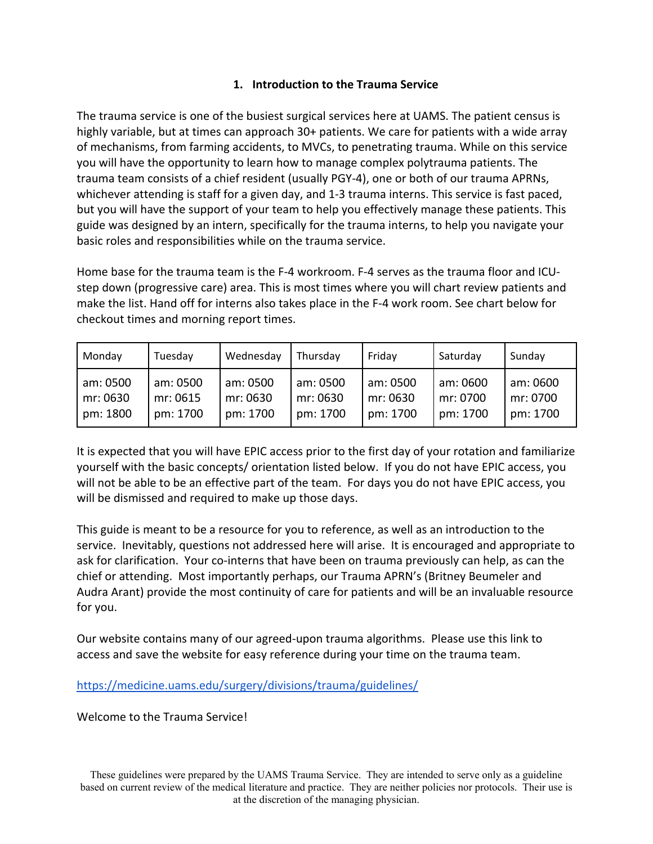## **1. Introduction to the Trauma Service**

The trauma service is one of the busiest surgical services here at UAMS. The patient census is highly variable, but at times can approach 30+ patients. We care for patients with a wide array of mechanisms, from farming accidents, to MVCs, to penetrating trauma. While on this service you will have the opportunity to learn how to manage complex polytrauma patients. The trauma team consists of a chief resident (usually PGY‐4), one or both of our trauma APRNs, whichever attending is staff for a given day, and 1-3 trauma interns. This service is fast paced, but you will have the support of your team to help you effectively manage these patients. This guide was designed by an intern, specifically for the trauma interns, to help you navigate your basic roles and responsibilities while on the trauma service.

Home base for the trauma team is the F‐4 workroom. F‐4 serves as the trauma floor and ICU‐ step down (progressive care) area. This is most times where you will chart review patients and make the list. Hand off for interns also takes place in the F‐4 work room. See chart below for checkout times and morning report times.

| Monday   | Tuesday  | Wednesday | Thursdav | Friday   | Saturday | Sunday   |
|----------|----------|-----------|----------|----------|----------|----------|
| am: 0500 | am: 0500 | am: 0500  | am: 0500 | am: 0500 | am: 0600 | am: 0600 |
| mr: 0630 | mr: 0615 | mr: 0630  | mr: 0630 | mr: 0630 | mr: 0700 | mr: 0700 |
| pm: 1800 | pm: 1700 | pm: 1700  | pm: 1700 | pm: 1700 | pm: 1700 | pm: 1700 |

It is expected that you will have EPIC access prior to the first day of your rotation and familiarize yourself with the basic concepts/ orientation listed below. If you do not have EPIC access, you will not be able to be an effective part of the team. For days you do not have EPIC access, you will be dismissed and required to make up those days.

This guide is meant to be a resource for you to reference, as well as an introduction to the service. Inevitably, questions not addressed here will arise. It is encouraged and appropriate to ask for clarification. Your co‐interns that have been on trauma previously can help, as can the chief or attending. Most importantly perhaps, our Trauma APRN's (Britney Beumeler and Audra Arant) provide the most continuity of care for patients and will be an invaluable resource for you.

Our website contains many of our agreed‐upon trauma algorithms. Please use this link to access and save the website for easy reference during your time on the trauma team.

https://medicine.uams.edu/surgery/divisions/trauma/guidelines/

Welcome to the Trauma Service!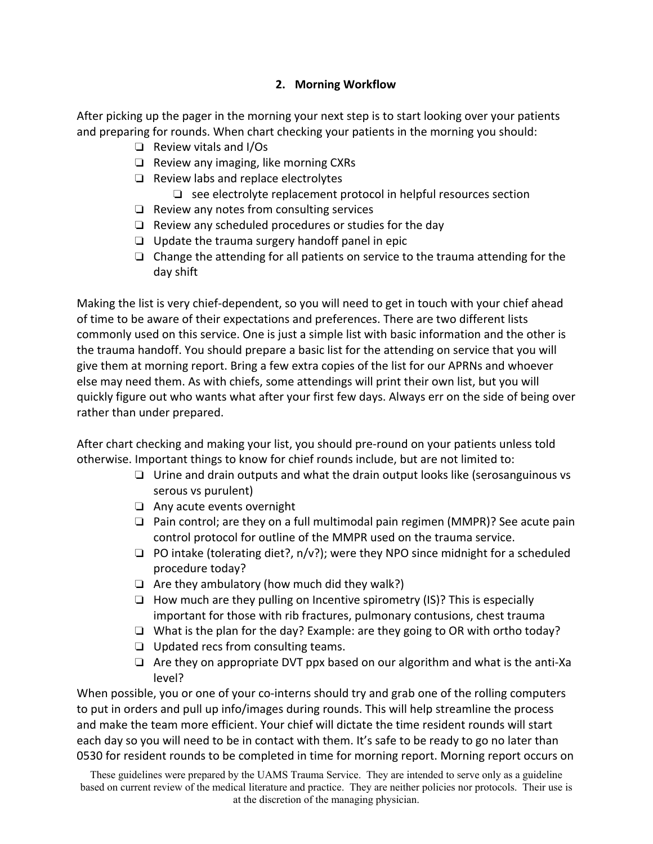## **2. Morning Workflow**

After picking up the pager in the morning your next step is to start looking over your patients and preparing for rounds. When chart checking your patients in the morning you should:

- ❏ Review vitals and I/Os
- ❏ Review any imaging, like morning CXRs
- ❏ Review labs and replace electrolytes
	- ❏ see electrolyte replacement protocol in helpful resources section
- ❏ Review any notes from consulting services
- ❏ Review any scheduled procedures or studies for the day
- ❏ Update the trauma surgery handoff panel in epic
- ❏ Change the attending for all patients on service to the trauma attending for the day shift

Making the list is very chief‐dependent, so you will need to get in touch with your chief ahead of time to be aware of their expectations and preferences. There are two different lists commonly used on this service. One is just a simple list with basic information and the other is the trauma handoff. You should prepare a basic list for the attending on service that you will give them at morning report. Bring a few extra copies of the list for our APRNs and whoever else may need them. As with chiefs, some attendings will print their own list, but you will quickly figure out who wants what after your first few days. Always err on the side of being over rather than under prepared.

After chart checking and making your list, you should pre‐round on your patients unless told otherwise. Important things to know for chief rounds include, but are not limited to:

- ❏ Urine and drain outputs and what the drain output looks like (serosanguinous vs serous vs purulent)
- ❏ Any acute events overnight
- ❏ Pain control; are they on a full multimodal pain regimen (MMPR)? See acute pain control protocol for outline of the MMPR used on the trauma service.
- ❏ PO intake (tolerating diet?, n/v?); were they NPO since midnight for a scheduled procedure today?
- $\Box$  Are they ambulatory (how much did they walk?)
- ❏ How much are they pulling on Incentive spirometry (IS)? This is especially important for those with rib fractures, pulmonary contusions, chest trauma
- ❏ What is the plan for the day? Example: are they going to OR with ortho today?
- ❏ Updated recs from consulting teams.
- ❏ Are they on appropriate DVT ppx based on our algorithm and what is the anti‐Xa level?

When possible, you or one of your co-interns should try and grab one of the rolling computers to put in orders and pull up info/images during rounds. This will help streamline the process and make the team more efficient. Your chief will dictate the time resident rounds will start each day so you will need to be in contact with them. It's safe to be ready to go no later than 0530 for resident rounds to be completed in time for morning report. Morning report occurs on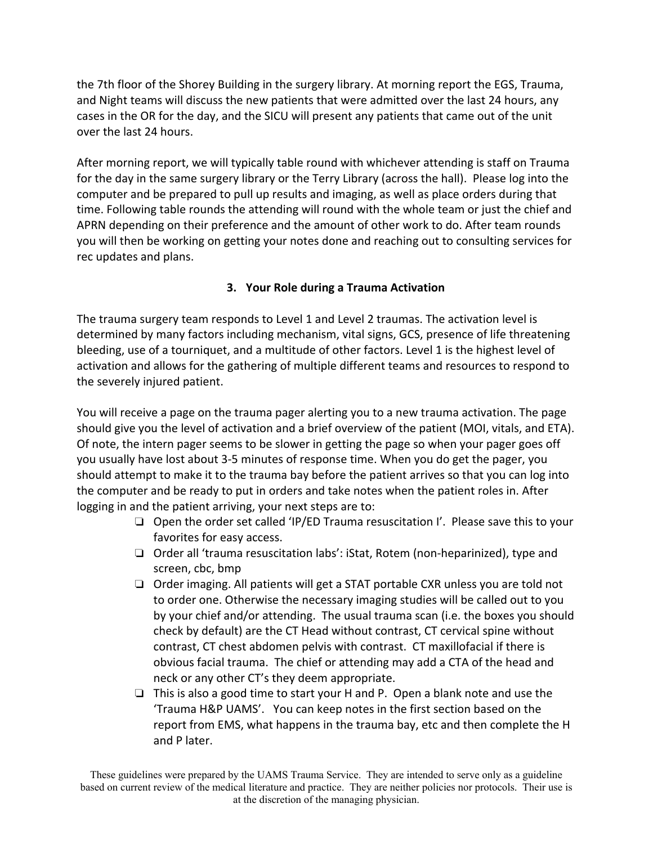the 7th floor of the Shorey Building in the surgery library. At morning report the EGS, Trauma, and Night teams will discuss the new patients that were admitted over the last 24 hours, any cases in the OR for the day, and the SICU will present any patients that came out of the unit over the last 24 hours.

After morning report, we will typically table round with whichever attending is staff on Trauma for the day in the same surgery library or the Terry Library (across the hall). Please log into the computer and be prepared to pull up results and imaging, as well as place orders during that time. Following table rounds the attending will round with the whole team or just the chief and APRN depending on their preference and the amount of other work to do. After team rounds you will then be working on getting your notes done and reaching out to consulting services for rec updates and plans.

## **3. Your Role during a Trauma Activation**

The trauma surgery team responds to Level 1 and Level 2 traumas. The activation level is determined by many factors including mechanism, vital signs, GCS, presence of life threatening bleeding, use of a tourniquet, and a multitude of other factors. Level 1 is the highest level of activation and allows for the gathering of multiple different teams and resources to respond to the severely injured patient.

You will receive a page on the trauma pager alerting you to a new trauma activation. The page should give you the level of activation and a brief overview of the patient (MOI, vitals, and ETA). Of note, the intern pager seems to be slower in getting the page so when your pager goes off you usually have lost about 3‐5 minutes of response time. When you do get the pager, you should attempt to make it to the trauma bay before the patient arrives so that you can log into the computer and be ready to put in orders and take notes when the patient roles in. After logging in and the patient arriving, your next steps are to:

- ❏ Open the order set called 'IP/ED Trauma resuscitation I'. Please save this to your favorites for easy access.
- ❏ Order all 'trauma resuscitation labs': iStat, Rotem (non‐heparinized), type and screen, cbc, bmp
- ❏ Order imaging. All patients will get a STAT portable CXR unless you are told not to order one. Otherwise the necessary imaging studies will be called out to you by your chief and/or attending. The usual trauma scan (i.e. the boxes you should check by default) are the CT Head without contrast, CT cervical spine without contrast, CT chest abdomen pelvis with contrast. CT maxillofacial if there is obvious facial trauma. The chief or attending may add a CTA of the head and neck or any other CT's they deem appropriate.
- ❏ This is also a good time to start your H and P. Open a blank note and use the 'Trauma H&P UAMS'. You can keep notes in the first section based on the report from EMS, what happens in the trauma bay, etc and then complete the H and P later.

These guidelines were prepared by the UAMS Trauma Service. They are intended to serve only as a guideline based on current review of the medical literature and practice. They are neither policies nor protocols. Their use is at the discretion of the managing physician.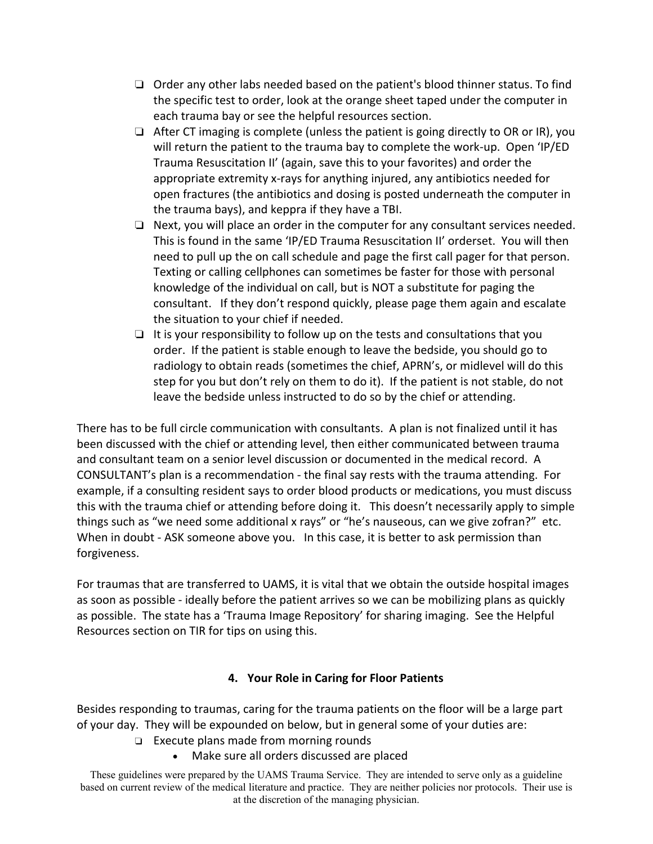- ❏ Order any other labs needed based on the patient's blood thinner status. To find the specific test to order, look at the orange sheet taped under the computer in each trauma bay or see the helpful resources section.
- ❏ After CT imaging is complete (unless the patient is going directly to OR or IR), you will return the patient to the trauma bay to complete the work‐up. Open 'IP/ED Trauma Resuscitation II' (again, save this to your favorites) and order the appropriate extremity x‐rays for anything injured, any antibiotics needed for open fractures (the antibiotics and dosing is posted underneath the computer in the trauma bays), and keppra if they have a TBI.
- ❏ Next, you will place an order in the computer for any consultant services needed. This is found in the same 'IP/ED Trauma Resuscitation II' orderset. You will then need to pull up the on call schedule and page the first call pager for that person. Texting or calling cellphones can sometimes be faster for those with personal knowledge of the individual on call, but is NOT a substitute for paging the consultant. If they don't respond quickly, please page them again and escalate the situation to your chief if needed.
- $\Box$  It is your responsibility to follow up on the tests and consultations that you order. If the patient is stable enough to leave the bedside, you should go to radiology to obtain reads (sometimes the chief, APRN's, or midlevel will do this step for you but don't rely on them to do it). If the patient is not stable, do not leave the bedside unless instructed to do so by the chief or attending.

There has to be full circle communication with consultants. A plan is not finalized until it has been discussed with the chief or attending level, then either communicated between trauma and consultant team on a senior level discussion or documented in the medical record. A CONSULTANT's plan is a recommendation ‐ the final say rests with the trauma attending. For example, if a consulting resident says to order blood products or medications, you must discuss this with the trauma chief or attending before doing it. This doesn't necessarily apply to simple things such as "we need some additional x rays" or "he's nauseous, can we give zofran?" etc. When in doubt - ASK someone above you. In this case, it is better to ask permission than forgiveness.

For traumas that are transferred to UAMS, it is vital that we obtain the outside hospital images as soon as possible ‐ ideally before the patient arrives so we can be mobilizing plans as quickly as possible. The state has a 'Trauma Image Repository' for sharing imaging. See the Helpful Resources section on TIR for tips on using this.

## **4. Your Role in Caring for Floor Patients**

Besides responding to traumas, caring for the trauma patients on the floor will be a large part of your day. They will be expounded on below, but in general some of your duties are:

- ❏ Execute plans made from morning rounds
	- Make sure all orders discussed are placed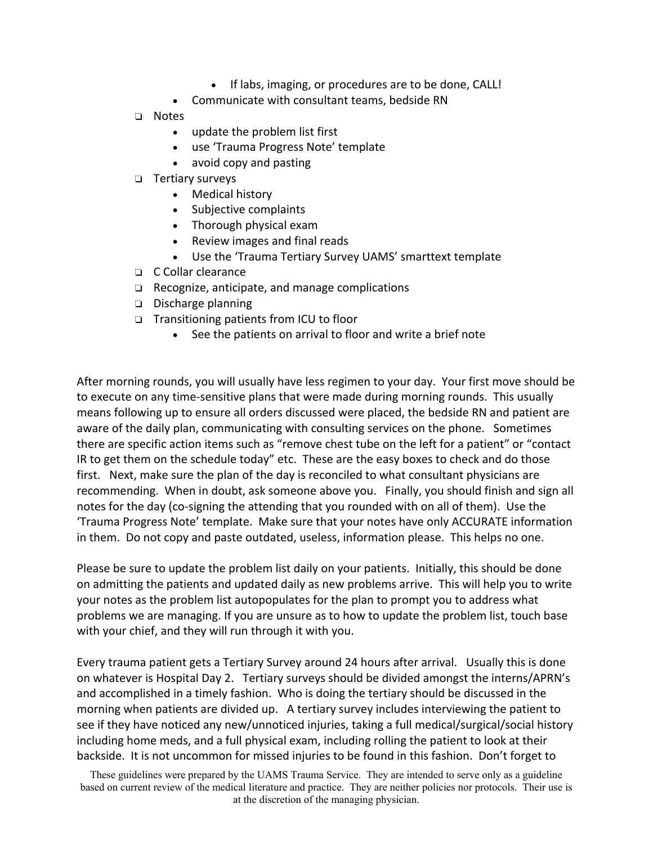- If labs, imaging, or procedures are to be done, CALL!
- Communicate with consultant teams, bedside RN
- ❏ Notes
	- update the problem list first
	- use 'Trauma Progress Note' template
	- avoid copy and pasting
- ❏ Tertiary surveys
	- Medical history
	- Subjective complaints
	- Thorough physical exam
	- Review images and final reads
	- Use the 'Trauma Tertiary Survey UAMS' smarttext template
- ❏ C Collar clearance
- ❏ Recognize, anticipate, and manage complications
- ❏ Discharge planning
- ❏ Transitioning patients from ICU to floor
	- See the patients on arrival to floor and write a brief note

After morning rounds, you will usually have less regimen to your day. Your first move should be to execute on any time‐sensitive plans that were made during morning rounds. This usually means following up to ensure all orders discussed were placed, the bedside RN and patient are aware of the daily plan, communicating with consulting services on the phone. Sometimes there are specific action items such as "remove chest tube on the left for a patient" or "contact IR to get them on the schedule today" etc. These are the easy boxes to check and do those first. Next, make sure the plan of the day is reconciled to what consultant physicians are recommending. When in doubt, ask someone above you. Finally, you should finish and sign all notes for the day (co-signing the attending that you rounded with on all of them). Use the 'Trauma Progress Note' template. Make sure that your notes have only ACCURATE information in them. Do not copy and paste outdated, useless, information please. This helps no one.

Please be sure to update the problem list daily on your patients. Initially, this should be done on admitting the patients and updated daily as new problems arrive. This will help you to write your notes as the problem list autopopulates for the plan to prompt you to address what problems we are managing. If you are unsure as to how to update the problem list, touch base with your chief, and they will run through it with you.

Every trauma patient gets a Tertiary Survey around 24 hours after arrival. Usually this is done on whatever is Hospital Day 2. Tertiary surveys should be divided amongst the interns/APRN's and accomplished in a timely fashion. Who is doing the tertiary should be discussed in the morning when patients are divided up. A tertiary survey includes interviewing the patient to see if they have noticed any new/unnoticed injuries, taking a full medical/surgical/social history including home meds, and a full physical exam, including rolling the patient to look at their backside. It is not uncommon for missed injuries to be found in this fashion. Don't forget to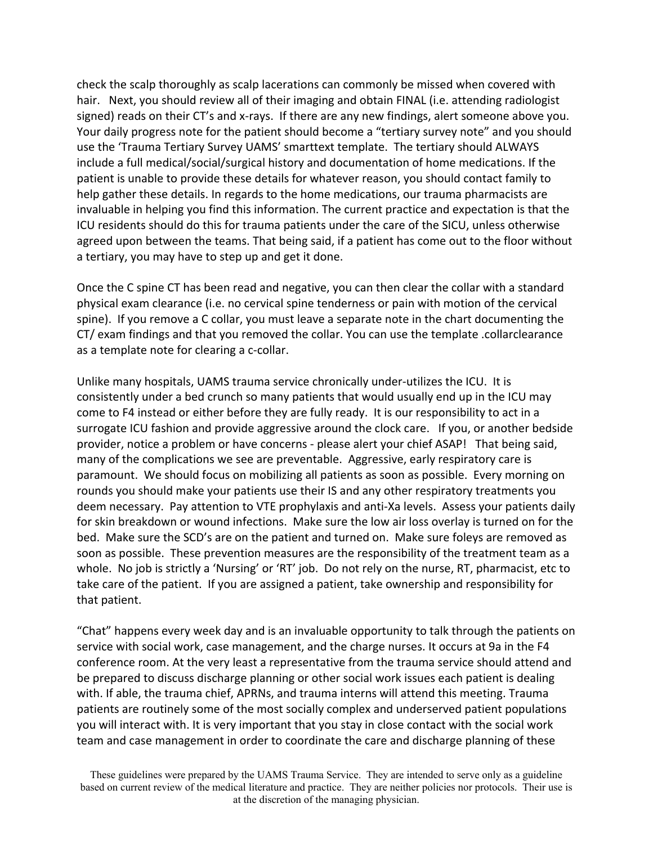check the scalp thoroughly as scalp lacerations can commonly be missed when covered with hair. Next, you should review all of their imaging and obtain FINAL (i.e. attending radiologist signed) reads on their CT's and x-rays. If there are any new findings, alert someone above you. Your daily progress note for the patient should become a "tertiary survey note" and you should use the 'Trauma Tertiary Survey UAMS' smarttext template. The tertiary should ALWAYS include a full medical/social/surgical history and documentation of home medications. If the patient is unable to provide these details for whatever reason, you should contact family to help gather these details. In regards to the home medications, our trauma pharmacists are invaluable in helping you find this information. The current practice and expectation is that the ICU residents should do this for trauma patients under the care of the SICU, unless otherwise agreed upon between the teams. That being said, if a patient has come out to the floor without a tertiary, you may have to step up and get it done.

Once the C spine CT has been read and negative, you can then clear the collar with a standard physical exam clearance (i.e. no cervical spine tenderness or pain with motion of the cervical spine). If you remove a C collar, you must leave a separate note in the chart documenting the CT/ exam findings and that you removed the collar. You can use the template .collarclearance as a template note for clearing a c‐collar.

Unlike many hospitals, UAMS trauma service chronically under‐utilizes the ICU. It is consistently under a bed crunch so many patients that would usually end up in the ICU may come to F4 instead or either before they are fully ready. It is our responsibility to act in a surrogate ICU fashion and provide aggressive around the clock care. If you, or another bedside provider, notice a problem or have concerns ‐ please alert your chief ASAP! That being said, many of the complications we see are preventable. Aggressive, early respiratory care is paramount. We should focus on mobilizing all patients as soon as possible. Every morning on rounds you should make your patients use their IS and any other respiratory treatments you deem necessary. Pay attention to VTE prophylaxis and anti‐Xa levels. Assess your patients daily for skin breakdown or wound infections. Make sure the low air loss overlay is turned on for the bed. Make sure the SCD's are on the patient and turned on. Make sure foleys are removed as soon as possible. These prevention measures are the responsibility of the treatment team as a whole. No job is strictly a 'Nursing' or 'RT' job. Do not rely on the nurse, RT, pharmacist, etc to take care of the patient. If you are assigned a patient, take ownership and responsibility for that patient.

"Chat" happens every week day and is an invaluable opportunity to talk through the patients on service with social work, case management, and the charge nurses. It occurs at 9a in the F4 conference room. At the very least a representative from the trauma service should attend and be prepared to discuss discharge planning or other social work issues each patient is dealing with. If able, the trauma chief, APRNs, and trauma interns will attend this meeting. Trauma patients are routinely some of the most socially complex and underserved patient populations you will interact with. It is very important that you stay in close contact with the social work team and case management in order to coordinate the care and discharge planning of these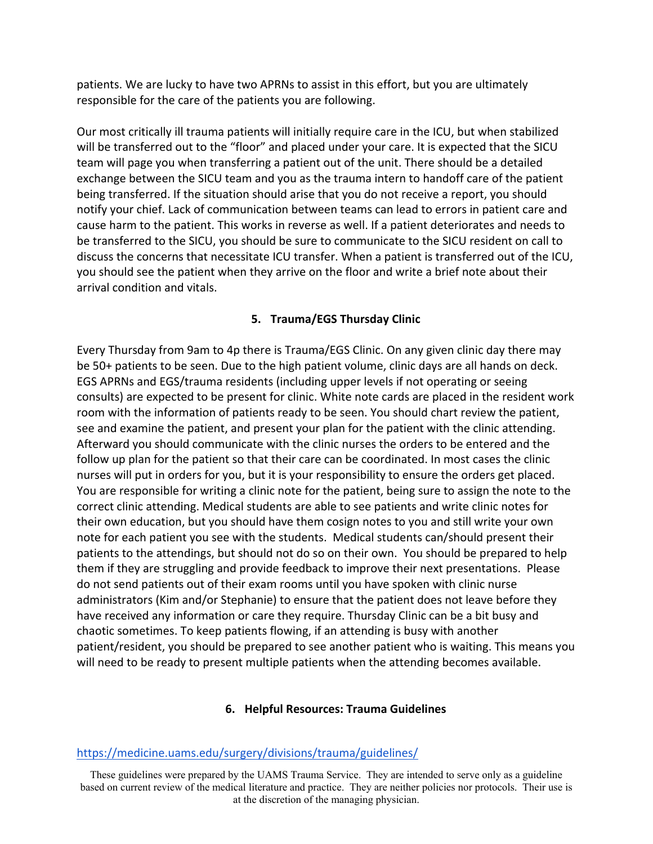patients. We are lucky to have two APRNs to assist in this effort, but you are ultimately responsible for the care of the patients you are following.

Our most critically ill trauma patients will initially require care in the ICU, but when stabilized will be transferred out to the "floor" and placed under your care. It is expected that the SICU team will page you when transferring a patient out of the unit. There should be a detailed exchange between the SICU team and you as the trauma intern to handoff care of the patient being transferred. If the situation should arise that you do not receive a report, you should notify your chief. Lack of communication between teams can lead to errors in patient care and cause harm to the patient. This works in reverse as well. If a patient deteriorates and needs to be transferred to the SICU, you should be sure to communicate to the SICU resident on call to discuss the concerns that necessitate ICU transfer. When a patient is transferred out of the ICU, you should see the patient when they arrive on the floor and write a brief note about their arrival condition and vitals.

## **5. Trauma/EGS Thursday Clinic**

Every Thursday from 9am to 4p there is Trauma/EGS Clinic. On any given clinic day there may be 50+ patients to be seen. Due to the high patient volume, clinic days are all hands on deck. EGS APRNs and EGS/trauma residents (including upper levels if not operating or seeing consults) are expected to be present for clinic. White note cards are placed in the resident work room with the information of patients ready to be seen. You should chart review the patient, see and examine the patient, and present your plan for the patient with the clinic attending. Afterward you should communicate with the clinic nurses the orders to be entered and the follow up plan for the patient so that their care can be coordinated. In most cases the clinic nurses will put in orders for you, but it is your responsibility to ensure the orders get placed. You are responsible for writing a clinic note for the patient, being sure to assign the note to the correct clinic attending. Medical students are able to see patients and write clinic notes for their own education, but you should have them cosign notes to you and still write your own note for each patient you see with the students. Medical students can/should present their patients to the attendings, but should not do so on their own. You should be prepared to help them if they are struggling and provide feedback to improve their next presentations. Please do not send patients out of their exam rooms until you have spoken with clinic nurse administrators (Kim and/or Stephanie) to ensure that the patient does not leave before they have received any information or care they require. Thursday Clinic can be a bit busy and chaotic sometimes. To keep patients flowing, if an attending is busy with another patient/resident, you should be prepared to see another patient who is waiting. This means you will need to be ready to present multiple patients when the attending becomes available.

## **6. Helpful Resources: Trauma Guidelines**

### https://medicine.uams.edu/surgery/divisions/trauma/guidelines/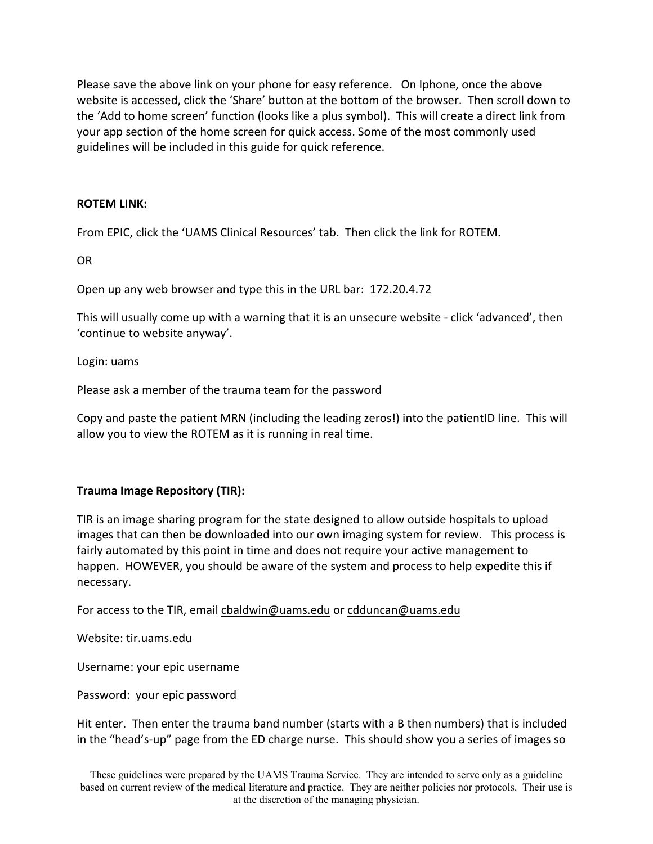Please save the above link on your phone for easy reference. On Iphone, once the above website is accessed, click the 'Share' button at the bottom of the browser. Then scroll down to the 'Add to home screen' function (looks like a plus symbol). This will create a direct link from your app section of the home screen for quick access. Some of the most commonly used guidelines will be included in this guide for quick reference.

### **ROTEM LINK:**

From EPIC, click the 'UAMS Clinical Resources' tab. Then click the link for ROTEM.

OR

Open up any web browser and type this in the URL bar: 172.20.4.72

This will usually come up with a warning that it is an unsecure website ‐ click 'advanced', then 'continue to website anyway'.

Login: uams

Please ask a member of the trauma team for the password

Copy and paste the patient MRN (including the leading zeros!) into the patientID line. This will allow you to view the ROTEM as it is running in real time.

### **Trauma Image Repository (TIR):**

TIR is an image sharing program for the state designed to allow outside hospitals to upload images that can then be downloaded into our own imaging system for review. This process is fairly automated by this point in time and does not require your active management to happen. HOWEVER, you should be aware of the system and process to help expedite this if necessary.

For access to the TIR, email cbaldwin@uams.edu or cdduncan@uams.edu

Website: tir.uams.edu

Username: your epic username

Password: your epic password

Hit enter. Then enter the trauma band number (starts with a B then numbers) that is included in the "head's‐up" page from the ED charge nurse. This should show you a series of images so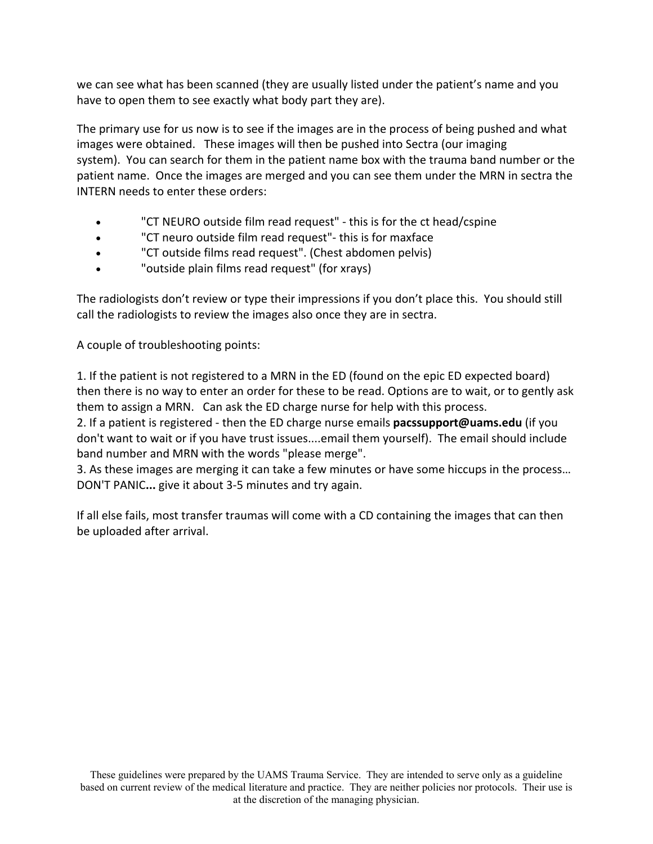we can see what has been scanned (they are usually listed under the patient's name and you have to open them to see exactly what body part they are).

The primary use for us now is to see if the images are in the process of being pushed and what images were obtained. These images will then be pushed into Sectra (our imaging system). You can search for them in the patient name box with the trauma band number or the patient name. Once the images are merged and you can see them under the MRN in sectra the INTERN needs to enter these orders:

- "CT NEURO outside film read request" ‐ this is for the ct head/cspine
- "CT neuro outside film read request"‐ this is for maxface
- "CT outside films read request". (Chest abdomen pelvis)
- "outside plain films read request" (for xrays)

The radiologists don't review or type their impressions if you don't place this. You should still call the radiologists to review the images also once they are in sectra.

A couple of troubleshooting points:

1. If the patient is not registered to a MRN in the ED (found on the epic ED expected board) then there is no way to enter an order for these to be read. Options are to wait, or to gently ask them to assign a MRN. Can ask the ED charge nurse for help with this process.

2. If a patient is registered ‐ then the ED charge nurse emails **pacssupport@uams.edu** (if you don't want to wait or if you have trust issues....email them yourself). The email should include band number and MRN with the words "please merge".

3. As these images are merging it can take a few minutes or have some hiccups in the process… DON'T PANIC**...** give it about 3‐5 minutes and try again.

If all else fails, most transfer traumas will come with a CD containing the images that can then be uploaded after arrival.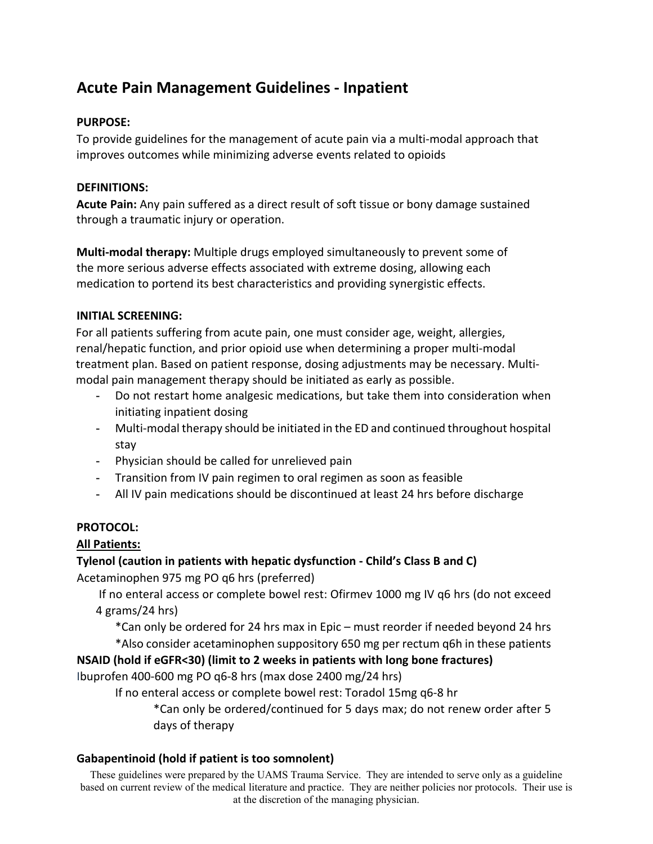# **Acute Pain Management Guidelines ‐ Inpatient**

## **PURPOSE:**

To provide guidelines for the management of acute pain via a multi‐modal approach that improves outcomes while minimizing adverse events related to opioids

## **DEFINITIONS:**

**Acute Pain:** Any pain suffered as a direct result of soft tissue or bony damage sustained through a traumatic injury or operation.

**Multi‐modal therapy:** Multiple drugs employed simultaneously to prevent some of the more serious adverse effects associated with extreme dosing, allowing each medication to portend its best characteristics and providing synergistic effects.

## **INITIAL SCREENING:**

For all patients suffering from acute pain, one must consider age, weight, allergies, renal/hepatic function, and prior opioid use when determining a proper multi‐modal treatment plan. Based on patient response, dosing adjustments may be necessary. Multi‐ modal pain management therapy should be initiated as early as possible.

- Do not restart home analgesic medications, but take them into consideration when initiating inpatient dosing
- Multi‐modal therapy should be initiated in the ED and continued throughout hospital stay
- Physician should be called for unrelieved pain
- Transition from IV pain regimen to oral regimen as soon as feasible
- All IV pain medications should be discontinued at least 24 hrs before discharge

# **PROTOCOL:**

# **All Patients:**

# **Tylenol (caution in patients with hepatic dysfunction ‐ Child's Class B and C)**

Acetaminophen 975 mg PO q6 hrs (preferred)

 If no enteral access or complete bowel rest: Ofirmev 1000 mg IV q6 hrs (do not exceed 4 grams/24 hrs)

\*Can only be ordered for 24 hrs max in Epic – must reorder if needed beyond 24 hrs \*Also consider acetaminophen suppository 650 mg per rectum q6h in these patients

# **NSAID (hold if eGFR<30) (limit to 2 weeks in patients with long bone fractures)**

Ibuprofen 400‐600 mg PO q6‐8 hrs (max dose 2400 mg/24 hrs)

If no enteral access or complete bowel rest: Toradol 15mg q6‐8 hr

\*Can only be ordered/continued for 5 days max; do not renew order after 5 days of therapy

## **Gabapentinoid (hold if patient is too somnolent)**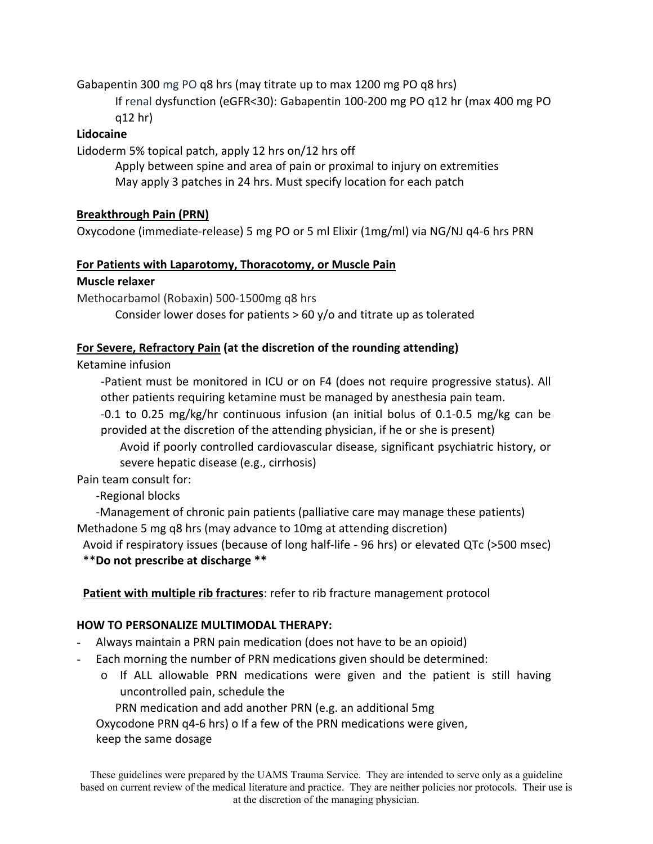Gabapentin 300 mg PO q8 hrs (may titrate up to max 1200 mg PO q8 hrs)

If renal dysfunction (eGFR<30): Gabapentin 100‐200 mg PO q12 hr (max 400 mg PO q12 hr)

## **Lidocaine**

Lidoderm 5% topical patch, apply 12 hrs on/12 hrs off

Apply between spine and area of pain or proximal to injury on extremities May apply 3 patches in 24 hrs. Must specify location for each patch

# **Breakthrough Pain (PRN)**

Oxycodone (immediate‐release) 5 mg PO or 5 ml Elixir (1mg/ml) via NG/NJ q4‐6 hrs PRN

## **For Patients with Laparotomy, Thoracotomy, or Muscle Pain**

## **Muscle relaxer**

Methocarbamol (Robaxin) 500‐1500mg q8 hrs

Consider lower doses for patients  $> 60$  y/o and titrate up as tolerated

## **For Severe, Refractory Pain (at the discretion of the rounding attending)**

Ketamine infusion

‐Patient must be monitored in ICU or on F4 (does not require progressive status). All other patients requiring ketamine must be managed by anesthesia pain team.

‐0.1 to 0.25 mg/kg/hr continuous infusion (an initial bolus of 0.1‐0.5 mg/kg can be provided at the discretion of the attending physician, if he or she is present)

Avoid if poorly controlled cardiovascular disease, significant psychiatric history, or severe hepatic disease (e.g., cirrhosis)

Pain team consult for:

‐Regional blocks

‐Management of chronic pain patients (palliative care may manage these patients) Methadone 5 mg q8 hrs (may advance to 10mg at attending discretion)

Avoid if respiratory issues (because of long half‐life ‐ 96 hrs) or elevated QTc (>500 msec) \*\***Do not prescribe at discharge \*\***

# **Patient with multiple rib fractures**: refer to rib fracture management protocol

## **HOW TO PERSONALIZE MULTIMODAL THERAPY:**

- Always maintain a PRN pain medication (does not have to be an opioid)
- Each morning the number of PRN medications given should be determined:
	- $\circ$  If ALL allowable PRN medications were given and the patient is still having uncontrolled pain, schedule the

PRN medication and add another PRN (e.g. an additional 5mg

Oxycodone PRN q4‐6 hrs) o If a few of the PRN medications were given,

keep the same dosage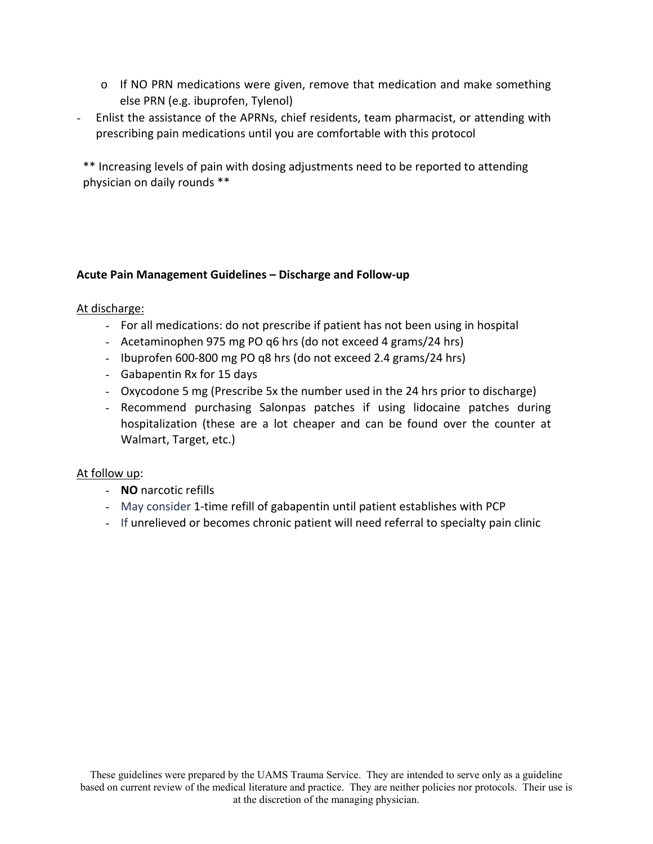- $\circ$  If NO PRN medications were given, remove that medication and make something else PRN (e.g. ibuprofen, Tylenol)
- Enlist the assistance of the APRNs, chief residents, team pharmacist, or attending with prescribing pain medications until you are comfortable with this protocol

\*\* Increasing levels of pain with dosing adjustments need to be reported to attending physician on daily rounds \*\*

## **Acute Pain Management Guidelines – Discharge and Follow‐up**

#### At discharge:

- For all medications: do not prescribe if patient has not been using in hospital
- Acetaminophen 975 mg PO q6 hrs (do not exceed 4 grams/24 hrs)
- Ibuprofen 600‐800 mg PO q8 hrs (do not exceed 2.4 grams/24 hrs)
- Gabapentin Rx for 15 days
- Oxycodone 5 mg (Prescribe 5x the number used in the 24 hrs prior to discharge)
- Recommend purchasing Salonpas patches if using lidocaine patches during hospitalization (these are a lot cheaper and can be found over the counter at Walmart, Target, etc.)

### At follow up:

- **NO** narcotic refills
- May consider 1‐time refill of gabapentin until patient establishes with PCP
- If unrelieved or becomes chronic patient will need referral to specialty pain clinic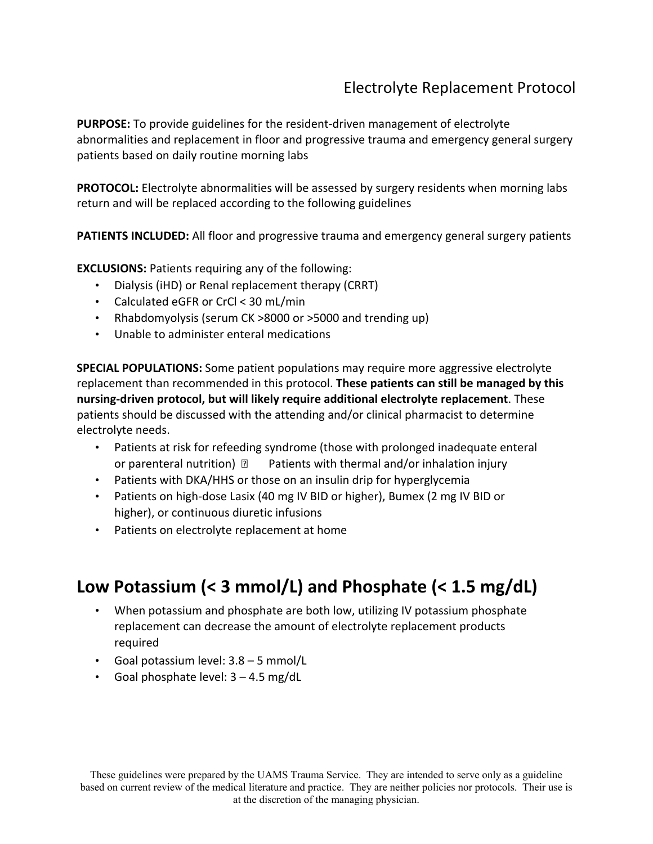# Electrolyte Replacement Protocol

**PURPOSE:** To provide guidelines for the resident‐driven management of electrolyte abnormalities and replacement in floor and progressive trauma and emergency general surgery patients based on daily routine morning labs

**PROTOCOL:** Electrolyte abnormalities will be assessed by surgery residents when morning labs return and will be replaced according to the following guidelines

**PATIENTS INCLUDED:** All floor and progressive trauma and emergency general surgery patients

**EXCLUSIONS: Patients requiring any of the following:** 

- Dialysis (iHD) or Renal replacement therapy (CRRT)
- Calculated eGFR or CrCl < 30 mL/min
- Rhabdomyolysis (serum CK >8000 or >5000 and trending up)
- Unable to administer enteral medications

**SPECIAL POPULATIONS:** Some patient populations may require more aggressive electrolyte replacement than recommended in this protocol. **These patients can still be managed by this nursing‐driven protocol, but will likely require additional electrolyte replacement**. These patients should be discussed with the attending and/or clinical pharmacist to determine electrolyte needs.

- Patients at risk for refeeding syndrome (those with prolonged inadequate enteral or parenteral nutrition)  $\mathbb{D}$  Patients with thermal and/or inhalation injury
- Patients with DKA/HHS or those on an insulin drip for hyperglycemia
- Patients on high-dose Lasix (40 mg IV BID or higher), Bumex (2 mg IV BID or higher), or continuous diuretic infusions
- Patients on electrolyte replacement at home

# **Low Potassium (< 3 mmol/L) and Phosphate (< 1.5 mg/dL)**

- When potassium and phosphate are both low, utilizing IV potassium phosphate replacement can decrease the amount of electrolyte replacement products required
- Goal potassium level: 3.8 5 mmol/L
- Goal phosphate level:  $3 4.5$  mg/dL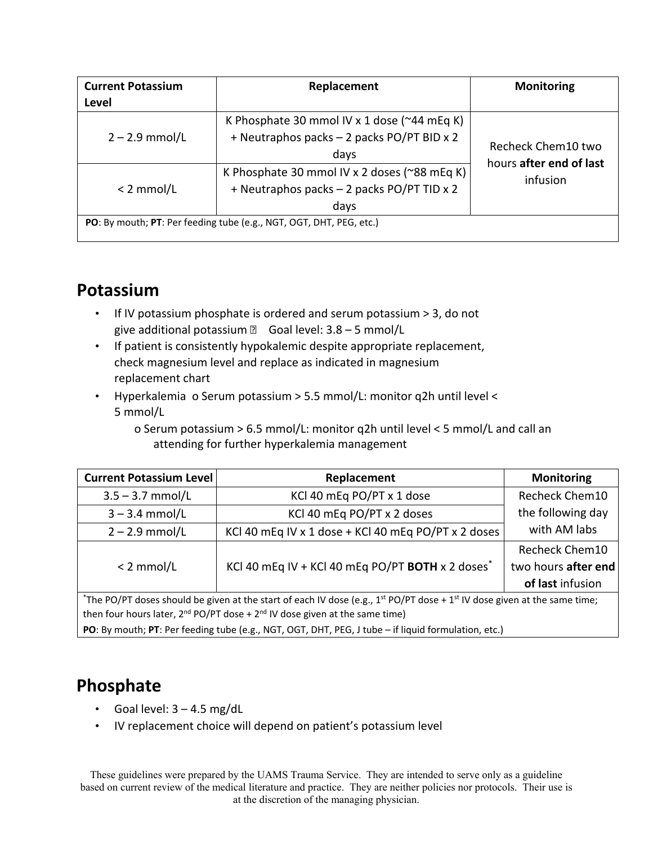| <b>Current Potassium</b>                                            | Replacement                                                                                                | <b>Monitoring</b>                   |  |
|---------------------------------------------------------------------|------------------------------------------------------------------------------------------------------------|-------------------------------------|--|
| Level                                                               |                                                                                                            |                                     |  |
| $2 - 2.9$ mmol/L                                                    | K Phosphate 30 mmol IV x 1 dose ( $\approx$ 44 mEq K)<br>+ Neutraphos packs - 2 packs PO/PT BID x 2        | Recheck Chem10 two                  |  |
| $< 2$ mmol/L                                                        | days<br>K Phosphate 30 mmol IV x 2 doses (~88 mEq K)<br>+ Neutraphos packs - 2 packs PO/PT TID x 2<br>days | hours after end of last<br>infusion |  |
| PO: By mouth; PT: Per feeding tube (e.g., NGT, OGT, DHT, PEG, etc.) |                                                                                                            |                                     |  |

# **Potassium**

- If IV potassium phosphate is ordered and serum potassium > 3, do not give additional potassium  $\Box$  Goal level:  $3.8 - 5$  mmol/L
- If patient is consistently hypokalemic despite appropriate replacement, check magnesium level and replace as indicated in magnesium replacement chart
- Hyperkalemia o Serum potassium > 5.5 mmol/L: monitor q2h until level < 5 mmol/L

o Serum potassium > 6.5 mmol/L: monitor q2h until level < 5 mmol/L and call an attending for further hyperkalemia management

| <b>Current Potassium Level</b>                                                                                                      | Replacement                                                  | <b>Monitoring</b>     |  |
|-------------------------------------------------------------------------------------------------------------------------------------|--------------------------------------------------------------|-----------------------|--|
| $3.5 - 3.7$ mmol/L                                                                                                                  | KCl 40 mEq PO/PT x 1 dose                                    | <b>Recheck Chem10</b> |  |
| $3 - 3.4$ mmol/L                                                                                                                    | KCl 40 mEq PO/PT x 2 doses                                   | the following day     |  |
| $2 - 2.9$ mmol/L                                                                                                                    | KCl 40 mEq IV x 1 dose + KCl 40 mEq PO/PT x 2 doses          | with AM labs          |  |
|                                                                                                                                     |                                                              | <b>Recheck Chem10</b> |  |
| $< 2$ mmol/L                                                                                                                        | KCl 40 mEq IV + KCl 40 mEq PO/PT BOTH x 2 doses <sup>*</sup> | two hours after end   |  |
|                                                                                                                                     |                                                              | of last infusion      |  |
| *The PO/PT doses should be given at the start of each IV dose (e.g., $1^{st}$ PO/PT dose + $1^{st}$ IV dose given at the same time; |                                                              |                       |  |
| then four hours later, $2^{nd}$ PO/PT dose + $2^{nd}$ IV dose given at the same time)                                               |                                                              |                       |  |

**PO**: By mouth; **PT**: Per feeding tube (e.g., NGT, OGT, DHT, PEG, J tube – if liquid formulation, etc.)

# **Phosphate**

- Goal level:  $3 4.5$  mg/dL
- IV replacement choice will depend on patient's potassium level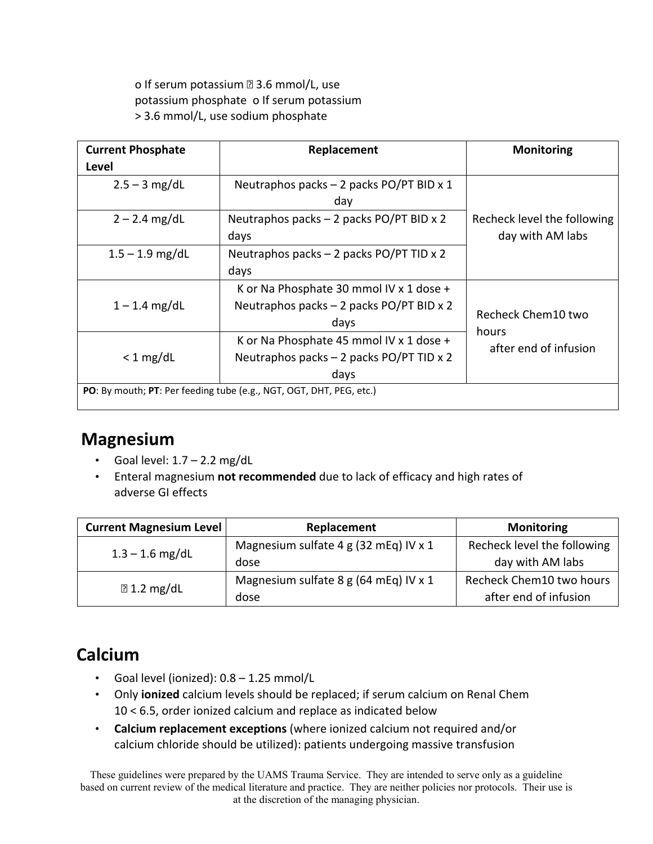o If serum potassium **23.6** mmol/L, use potassium phosphate o If serum potassium > 3.6 mmol/L, use sodium phosphate

| <b>Current Phosphate</b><br>Replacement                             |                                                  | <b>Monitoring</b>                               |  |
|---------------------------------------------------------------------|--------------------------------------------------|-------------------------------------------------|--|
| Level                                                               |                                                  |                                                 |  |
| $2.5 - 3$ mg/dL                                                     | Neutraphos packs $-2$ packs PO/PT BID x 1<br>day |                                                 |  |
| $2 - 2.4$ mg/dL                                                     | Neutraphos packs - 2 packs PO/PT BID x 2         | Recheck level the following<br>day with AM labs |  |
|                                                                     | days                                             |                                                 |  |
| $1.5 - 1.9$ mg/dL                                                   | Neutraphos packs $-2$ packs PO/PT TID x 2        |                                                 |  |
|                                                                     | days                                             |                                                 |  |
|                                                                     | K or Na Phosphate 30 mmol IV x 1 dose +          |                                                 |  |
| $1 - 1.4$ mg/dL                                                     | Neutraphos packs - 2 packs PO/PT BID x 2         | Recheck Chem10 two<br>hours                     |  |
|                                                                     | days                                             |                                                 |  |
| $<$ 1 mg/dL                                                         | K or Na Phosphate 45 mmol IV x 1 dose +          | after end of infusion                           |  |
|                                                                     | Neutraphos packs $-2$ packs PO/PT TID x 2        |                                                 |  |
|                                                                     | days                                             |                                                 |  |
| PO: By mouth; PT: Per feeding tube (e.g., NGT, OGT, DHT, PEG, etc.) |                                                  |                                                 |  |

# **Magnesium**

- Goal level:  $1.7 2.2$  mg/dL
- Enteral magnesium **not recommended** due to lack of efficacy and high rates of adverse GI effects

| <b>Current Magnesium Level</b> | Replacement                           | <b>Monitoring</b>           |  |
|--------------------------------|---------------------------------------|-----------------------------|--|
| $1.3 - 1.6$ mg/dL              | Magnesium sulfate 4 g (32 mEq) IV x 1 | Recheck level the following |  |
|                                | dose                                  | day with AM labs            |  |
|                                | Magnesium sulfate 8 g (64 mEq) IV x 1 | Recheck Chem10 two hours    |  |
| $\mathbb{E}$ 1.2 mg/dL         | dose                                  | after end of infusion       |  |

# **Calcium**

- Goal level (ionized): 0.8 1.25 mmol/L
- Only **ionized** calcium levels should be replaced; if serum calcium on Renal Chem 10 < 6.5, order ionized calcium and replace as indicated below
- **Calcium replacement exceptions** (where ionized calcium not required and/or calcium chloride should be utilized): patients undergoing massive transfusion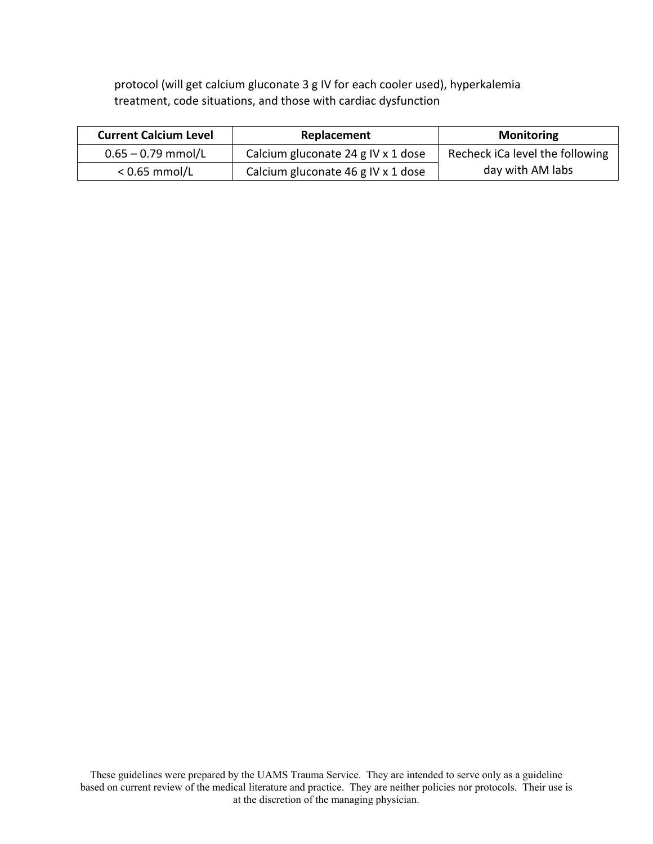protocol (will get calcium gluconate 3 g IV for each cooler used), hyperkalemia treatment, code situations, and those with cardiac dysfunction

| <b>Current Calcium Level</b><br><b>Replacement</b> |                                    | <b>Monitoring</b>               |
|----------------------------------------------------|------------------------------------|---------------------------------|
| $0.65 - 0.79$ mmol/L                               | Calcium gluconate 24 g IV x 1 dose | Recheck iCa level the following |
| $< 0.65$ mmol/L                                    | Calcium gluconate 46 g IV x 1 dose | day with AM labs                |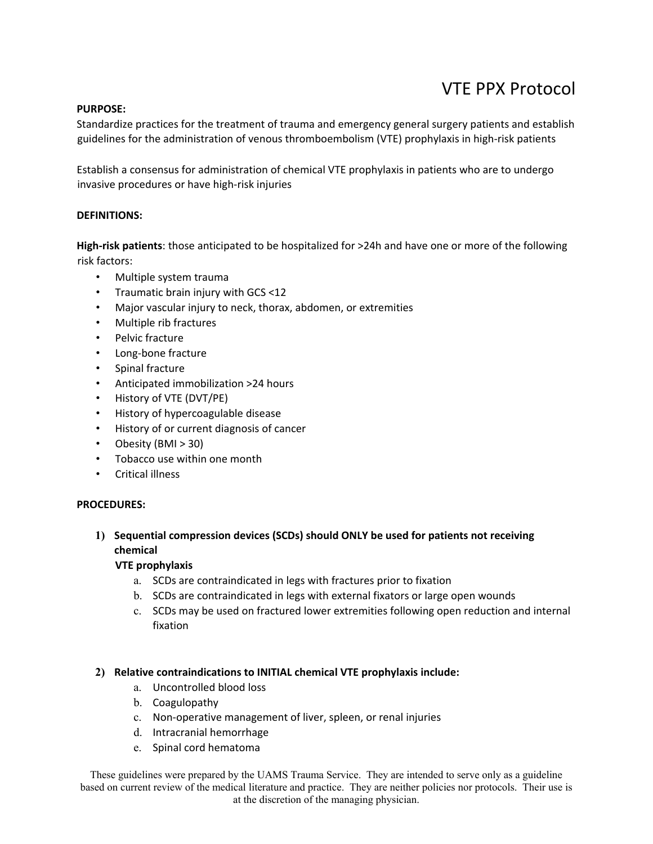# VTE PPX Protocol

#### **PURPOSE:**

Standardize practices for the treatment of trauma and emergency general surgery patients and establish guidelines for the administration of venous thromboembolism (VTE) prophylaxis in high-risk patients

Establish a consensus for administration of chemical VTE prophylaxis in patients who are to undergo invasive procedures or have high‐risk injuries

#### **DEFINITIONS:**

**High‐risk patients**: those anticipated to be hospitalized for >24h and have one or more of the following risk factors:

- Multiple system trauma
- Traumatic brain injury with GCS <12
- Major vascular injury to neck, thorax, abdomen, or extremities
- Multiple rib fractures
- Pelvic fracture
- Long‐bone fracture
- Spinal fracture
- Anticipated immobilization >24 hours
- History of VTE (DVT/PE)
- History of hypercoagulable disease
- History of or current diagnosis of cancer
- Obesity (BMI > 30)
- Tobacco use within one month
- Critical illness

#### **PROCEDURES:**

### **1) Sequential compression devices (SCDs) should ONLY be used for patients not receiving chemical**

#### **VTE prophylaxis**

- a. SCDs are contraindicated in legs with fractures prior to fixation
- b. SCDs are contraindicated in legs with external fixators or large open wounds
- c. SCDs may be used on fractured lower extremities following open reduction and internal fixation

#### **2) Relative contraindications to INITIAL chemical VTE prophylaxis include:**

- a. Uncontrolled blood loss
- b. Coagulopathy
- c. Non‐operative management of liver, spleen, or renal injuries
- d. Intracranial hemorrhage
- e. Spinal cord hematoma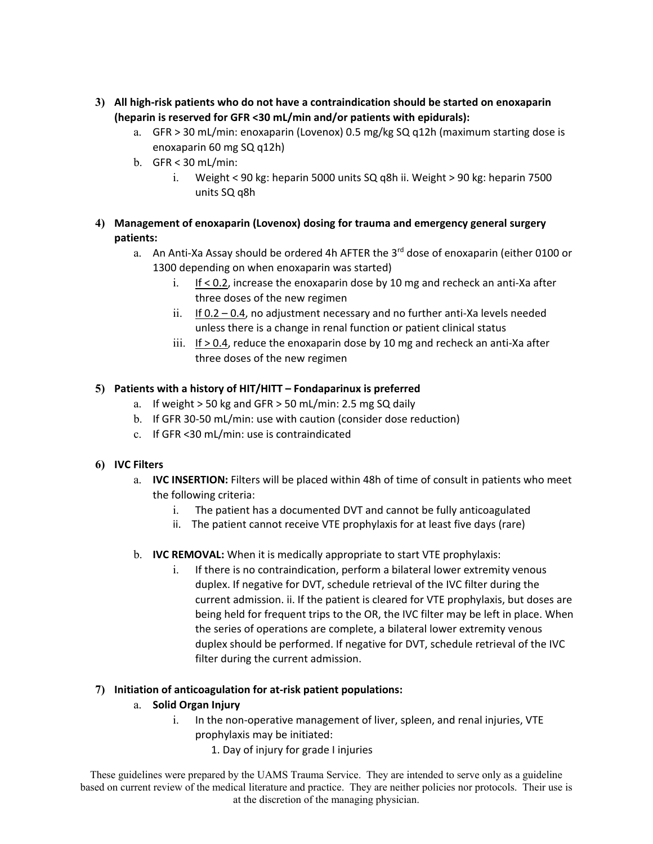- **3) All high‐risk patients who do not have a contraindication should be started on enoxaparin (heparin is reserved for GFR <30 mL/min and/or patients with epidurals):** 
	- a. GFR > 30 mL/min: enoxaparin (Lovenox) 0.5 mg/kg SQ q12h (maximum starting dose is enoxaparin 60 mg SQ q12h)
	- b. GFR < 30 mL/min:
		- i. Weight < 90 kg: heparin 5000 units SQ q8h ii. Weight > 90 kg: heparin 7500 units SQ q8h

## **4) Management of enoxaparin (Lovenox) dosing for trauma and emergency general surgery patients:**

- a. An Anti-Xa Assay should be ordered 4h AFTER the 3<sup>rd</sup> dose of enoxaparin (either 0100 or 1300 depending on when enoxaparin was started)
	- i. If < 0.2, increase the enoxaparin dose by 10 mg and recheck an anti‐Xa after three doses of the new regimen
	- ii. If  $0.2 0.4$ , no adjustment necessary and no further anti-Xa levels needed unless there is a change in renal function or patient clinical status
	- $iii.$  If  $> 0.4$ , reduce the enoxaparin dose by 10 mg and recheck an anti-Xa after three doses of the new regimen

## **5) Patients with a history of HIT/HITT – Fondaparinux is preferred**

- a. If weight > 50 kg and GFR > 50 mL/min: 2.5 mg SQ daily
- b. If GFR 30‐50 mL/min: use with caution (consider dose reduction)
- c. If GFR <30 mL/min: use is contraindicated

### **6) IVC Filters**

- a. **IVC INSERTION:** Filters will be placed within 48h of time of consult in patients who meet the following criteria:
	- i. The patient has a documented DVT and cannot be fully anticoagulated
	- ii. The patient cannot receive VTE prophylaxis for at least five days (rare)
- b. **IVC REMOVAL:** When it is medically appropriate to start VTE prophylaxis:
	- i. If there is no contraindication, perform a bilateral lower extremity venous duplex. If negative for DVT, schedule retrieval of the IVC filter during the current admission. ii. If the patient is cleared for VTE prophylaxis, but doses are being held for frequent trips to the OR, the IVC filter may be left in place. When the series of operations are complete, a bilateral lower extremity venous duplex should be performed. If negative for DVT, schedule retrieval of the IVC filter during the current admission.

### **7) Initiation of anticoagulation for at‐risk patient populations:**

- a. **Solid Organ Injury** 
	- i. In the non-operative management of liver, spleen, and renal injuries, VTE prophylaxis may be initiated:
		- 1. Day of injury for grade I injuries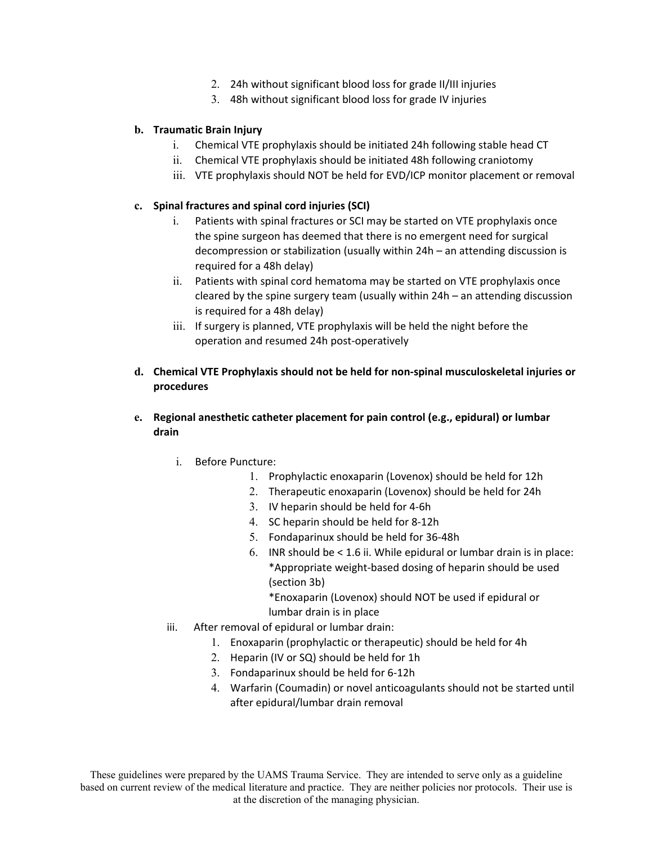- 2. 24h without significant blood loss for grade II/III injuries
- 3. 48h without significant blood loss for grade IV injuries

#### **b. Traumatic Brain Injury**

- i. Chemical VTE prophylaxis should be initiated 24h following stable head CT
- ii. Chemical VTE prophylaxis should be initiated 48h following craniotomy
- iii. VTE prophylaxis should NOT be held for EVD/ICP monitor placement or removal

#### **c. Spinal fractures and spinal cord injuries (SCI)**

- i. Patients with spinal fractures or SCI may be started on VTE prophylaxis once the spine surgeon has deemed that there is no emergent need for surgical decompression or stabilization (usually within 24h – an attending discussion is required for a 48h delay)
- ii. Patients with spinal cord hematoma may be started on VTE prophylaxis once cleared by the spine surgery team (usually within 24h – an attending discussion is required for a 48h delay)
- iii. If surgery is planned, VTE prophylaxis will be held the night before the operation and resumed 24h post‐operatively
- **d. Chemical VTE Prophylaxis should not be held for non‐spinal musculoskeletal injuries or procedures**
- **e. Regional anesthetic catheter placement for pain control (e.g., epidural) or lumbar drain** 
	- i. Before Puncture:
		- 1. Prophylactic enoxaparin (Lovenox) should be held for 12h
		- 2. Therapeutic enoxaparin (Lovenox) should be held for 24h
		- 3. IV heparin should be held for 4‐6h
		- 4. SC heparin should be held for 8‐12h
		- 5. Fondaparinux should be held for 36‐48h
		- 6. INR should be < 1.6 ii. While epidural or lumbar drain is in place: \*Appropriate weight‐based dosing of heparin should be used (section 3b)

\*Enoxaparin (Lovenox) should NOT be used if epidural or lumbar drain is in place

- iii. After removal of epidural or lumbar drain:
	- 1. Enoxaparin (prophylactic or therapeutic) should be held for 4h
	- 2. Heparin (IV or SQ) should be held for 1h
	- 3. Fondaparinux should be held for 6‐12h
	- 4. Warfarin (Coumadin) or novel anticoagulants should not be started until after epidural/lumbar drain removal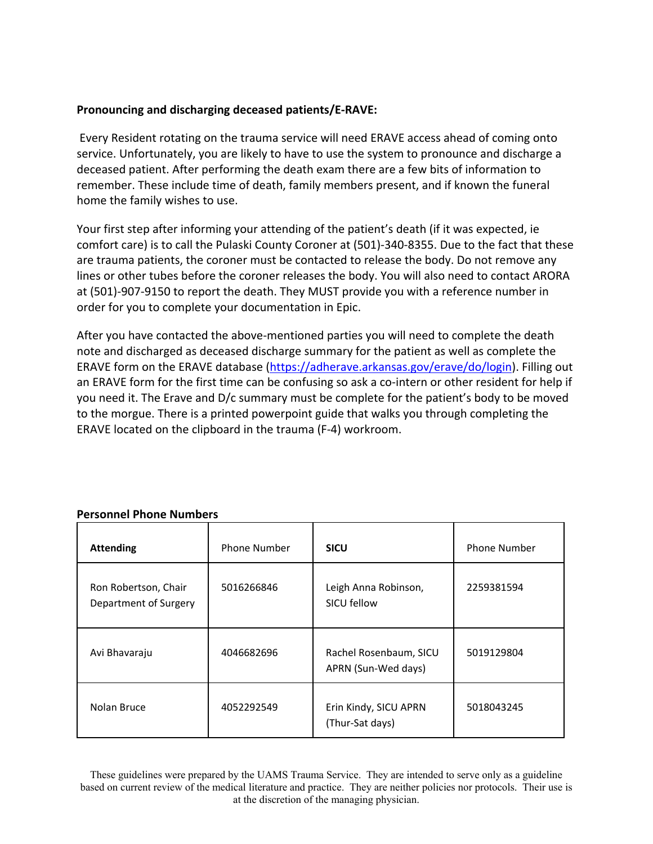## **Pronouncing and discharging deceased patients/E‐RAVE:**

Every Resident rotating on the trauma service will need ERAVE access ahead of coming onto service. Unfortunately, you are likely to have to use the system to pronounce and discharge a deceased patient. After performing the death exam there are a few bits of information to remember. These include time of death, family members present, and if known the funeral home the family wishes to use.

Your first step after informing your attending of the patient's death (if it was expected, ie comfort care) is to call the Pulaski County Coroner at (501)‐340‐8355. Due to the fact that these are trauma patients, the coroner must be contacted to release the body. Do not remove any lines or other tubes before the coroner releases the body. You will also need to contact ARORA at (501)‐907‐9150 to report the death. They MUST provide you with a reference number in order for you to complete your documentation in Epic.

After you have contacted the above‐mentioned parties you will need to complete the death note and discharged as deceased discharge summary for the patient as well as complete the ERAVE form on the ERAVE database (https://adherave.arkansas.gov/erave/do/login). Filling out an ERAVE form for the first time can be confusing so ask a co-intern or other resident for help if you need it. The Erave and D/c summary must be complete for the patient's body to be moved to the morgue. There is a printed powerpoint guide that walks you through completing the ERAVE located on the clipboard in the trauma (F‐4) workroom.

| <b>Attending</b>                              | <b>Phone Number</b> | <b>SICU</b>                                   | <b>Phone Number</b> |
|-----------------------------------------------|---------------------|-----------------------------------------------|---------------------|
| Ron Robertson, Chair<br>Department of Surgery | 5016266846          | Leigh Anna Robinson,<br>SICU fellow           | 2259381594          |
| Avi Bhavaraju                                 | 4046682696          | Rachel Rosenbaum, SICU<br>APRN (Sun-Wed days) | 5019129804          |
| Nolan Bruce                                   | 4052292549          | Erin Kindy, SICU APRN<br>(Thur-Sat days)      | 5018043245          |

### **Personnel Phone Numbers**